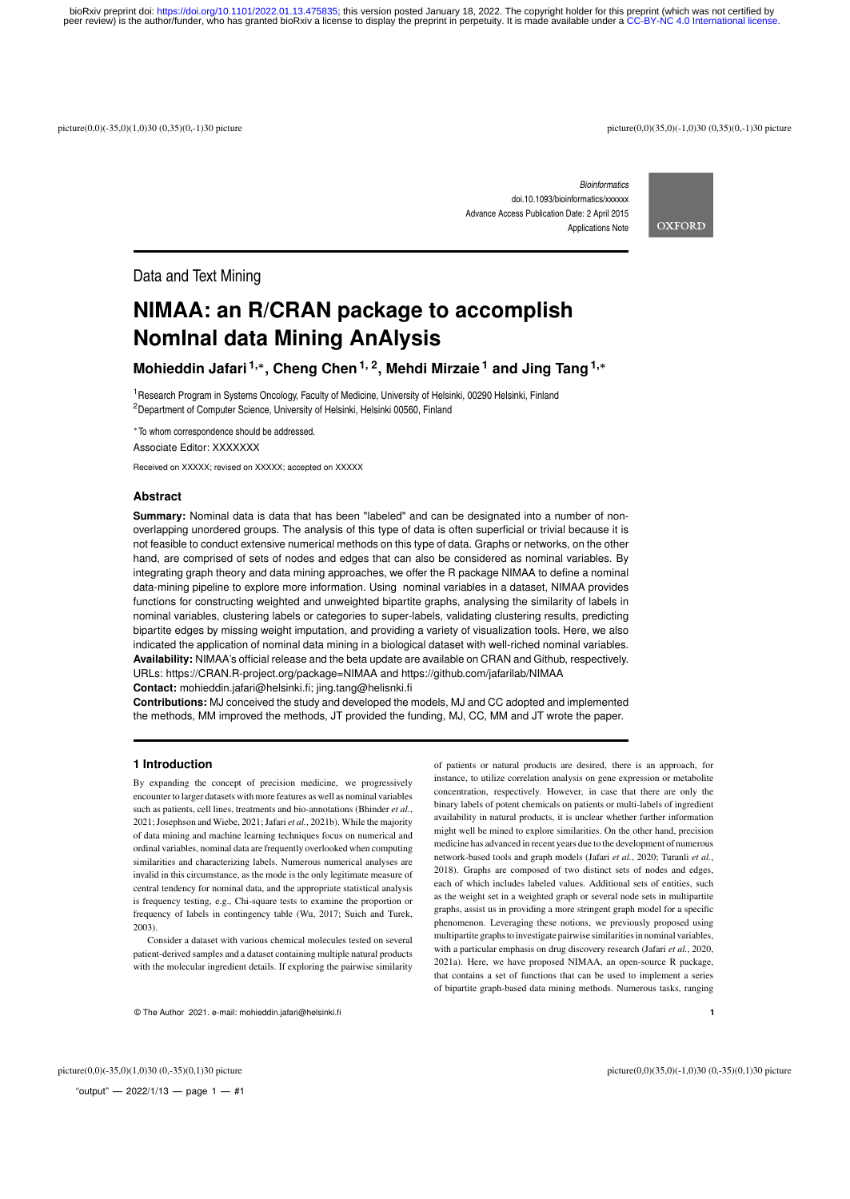peer review) is the author/funder, who has granted bioRxiv a license to display the preprint in perpetuity. It is made available under a [CC-BY-NC 4.0 International license.](http://creativecommons.org/licenses/by-nc/4.0/) bioRxiv preprint doi: [https://doi.org/10.1101/2022.01.13.475835;](https://doi.org/10.1101/2022.01.13.475835) this version posted January 18, 2022. The copyright holder for this preprint (which was not certified by

picture(0,0)(-35,0)(1,0)30 (0,35)(0,-1)30 picture<br>picture(0,0)(-35,0)(1,0)30 (0,35)(0,-1)30 picture<br>picture(0,0)(-35,0)(-1,0)30 (0,35)(0,-1)30 picture

*Bioinformatics* doi.10.1093/bioinformatics/xxxxxx Advance Access Publication Date: 2 April 2015 Applications Note



Data and Text Mining

# **NIMAA: an R/CRAN package to accomplish NomInal data Mining AnAlysis**

**Mohieddin Jafari 1,**<sup>∗</sup> **, Cheng Chen1, 2, Mehdi Mirzaie <sup>1</sup> and Jing Tang1,**<sup>∗</sup>

<sup>1</sup> Research Program in Systems Oncology, Faculty of Medicine, University of Helsinki, 00290 Helsinki, Finland <sup>2</sup>Department of Computer Science, University of Helsinki, Helsinki 00560, Finland

<sup>∗</sup>To whom correspondence should be addressed.

Associate Editor: XXXXXXX

Received on XXXXX; revised on XXXXX; accepted on XXXXX

### **Abstract**

**Summary:** Nominal data is data that has been "labeled" and can be designated into a number of nonoverlapping unordered groups. The analysis of this type of data is often superficial or trivial because it is not feasible to conduct extensive numerical methods on this type of data. Graphs or networks, on the other hand, are comprised of sets of nodes and edges that can also be considered as nominal variables. By integrating graph theory and data mining approaches, we offer the R package NIMAA to define a nominal data-mining pipeline to explore more information. Using nominal variables in a dataset, NIMAA provides functions for constructing weighted and unweighted bipartite graphs, analysing the similarity of labels in nominal variables, clustering labels or categories to super-labels, validating clustering results, predicting bipartite edges by missing weight imputation, and providing a variety of visualization tools. Here, we also indicated the application of nominal data mining in a biological dataset with well-riched nominal variables. **Availability:** NIMAA's official release and the beta update are available on CRAN and Github, respectively. URLs: https://CRAN.R-project.org/package=NIMAA and https://github.com/jafarilab/NIMAA **Contact:** mohieddin.jafari@helsinki.fi; jing.tang@helisnki.fi

**Contributions:** MJ conceived the study and developed the models, MJ and CC adopted and implemented the methods, MM improved the methods, JT provided the funding, MJ, CC, MM and JT wrote the paper.

## **1 Introduction**

By expanding the concept of precision medicine, we progressively encounter to larger datasets with more features as well as nominal variables such as patients, cell lines, treatments and bio-annotations (Bhinder *et al.*, 2021; Josephson and Wiebe, 2021; Jafari *et al.*, 2021b). While the majority of data mining and machine learning techniques focus on numerical and ordinal variables, nominal data are frequently overlooked when computing similarities and characterizing labels. Numerous numerical analyses are invalid in this circumstance, as the mode is the only legitimate measure of central tendency for nominal data, and the appropriate statistical analysis is frequency testing, e.g., Chi-square tests to examine the proportion or frequency of labels in contingency table (Wu, 2017; Suich and Turek, 2003).

Consider a dataset with various chemical molecules tested on several patient-derived samples and a dataset containing multiple natural products with the molecular ingredient details. If exploring the pairwise similarity

of patients or natural products are desired, there is an approach, for instance, to utilize correlation analysis on gene expression or metabolite concentration, respectively. However, in case that there are only the binary labels of potent chemicals on patients or multi-labels of ingredient availability in natural products, it is unclear whether further information might well be mined to explore similarities. On the other hand, precision medicine has advanced in recent years due to the development of numerous network-based tools and graph models (Jafari *et al.*, 2020; Turanli *et al.*, 2018). Graphs are composed of two distinct sets of nodes and edges, each of which includes labeled values. Additional sets of entities, such as the weight set in a weighted graph or several node sets in multipartite graphs, assist us in providing a more stringent graph model for a specific phenomenon. Leveraging these notions, we previously proposed using multipartite graphs to investigate pairwise similarities in nominal variables, with a particular emphasis on drug discovery research (Jafari *et al.*, 2020, 2021a). Here, we have proposed NIMAA, an open-source R package, that contains a set of functions that can be used to implement a series of bipartite graph-based data mining methods. Numerous tasks, ranging

© The Author 2021. e-mail: mohieddin.jafari@helsinki.fi **1**

"output"  $-$  2022/1/13  $-$  page 1  $-$  #1

picture(0,0)(-35,0)(1,0)30 (0,-35)(0,1)30 picture picture(0,0)(35,0)(-1,0)30 (0,-35)(0,1)30 picture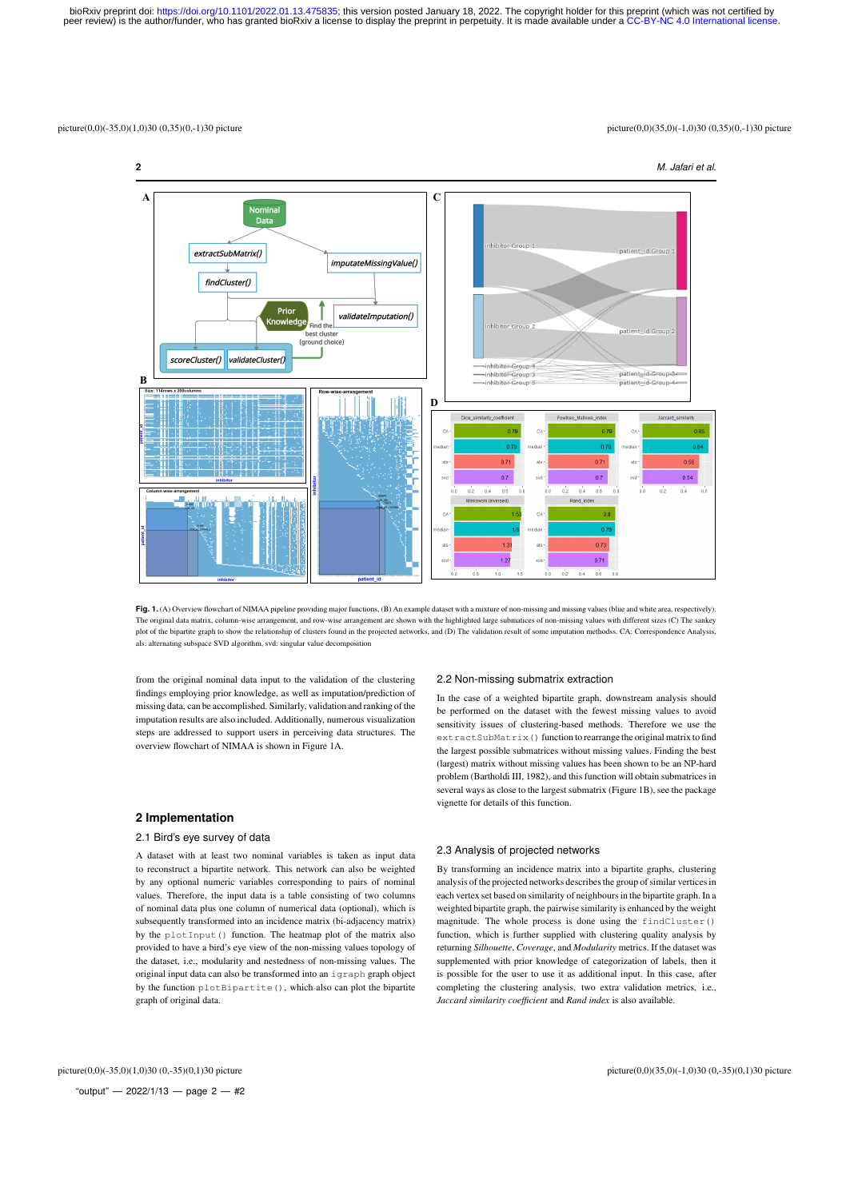#### picture(0,0)(-35,0)(1,0)30 (0,35)(0,-1)30 picture<br>picture(0,0)(-35,0)(1,0)30 (0,35)(0,-1)30 picture<br>picture(0,0)(-35,0)(-1,0)30 (0,35)(0,-1)30 picture





from the original nominal data input to the validation of the clustering findings employing prior knowledge, as well as imputation/prediction of missing data, can be accomplished. Similarly, validation and ranking of the imputation results are also included. Additionally, numerous visualization steps are addressed to support users in perceiving data structures. The overview flowchart of NIMAA is shown in Figure 1A.

#### **2 Implementation**

#### 2.1 Bird's eye survey of data

A dataset with at least two nominal variables is taken as input data to reconstruct a bipartite network. This network can also be weighted by any optional numeric variables corresponding to pairs of nominal values. Therefore, the input data is a table consisting of two columns of nominal data plus one column of numerical data (optional), which is subsequently transformed into an incidence matrix (bi-adjacency matrix) by the plotInput() function. The heatmap plot of the matrix also provided to have a bird's eye view of the non-missing values topology of the dataset, i.e., modularity and nestedness of non-missing values. The original input data can also be transformed into an igraph graph object by the function plotBipartite(), which also can plot the bipartite graph of original data.

#### 2.2 Non-missing submatrix extraction

In the case of a weighted bipartite graph, downstream analysis should be performed on the dataset with the fewest missing values to avoid sensitivity issues of clustering-based methods. Therefore we use the extractSubMatrix() function to rearrange the original matrix to find the largest possible submatrices without missing values. Finding the best (largest) matrix without missing values has been shown to be an NP-hard problem (Bartholdi III, 1982), and this function will obtain submatrices in several ways as close to the largest submatrix (Figure 1B), see the package vignette for details of this function.

#### 2.3 Analysis of projected networks

By transforming an incidence matrix into a bipartite graphs, clustering analysis of the projected networks describes the group of similar vertices in each vertex set based on similarity of neighbours in the bipartite graph. In a weighted bipartite graph, the pairwise similarity is enhanced by the weight magnitude. The whole process is done using the findCluster() function, which is further supplied with clustering quality analysis by returning *Silhouette*, *Coverage*, and *Modularity* metrics. If the dataset was supplemented with prior knowledge of categorization of labels, then it is possible for the user to use it as additional input. In this case, after completing the clustering analysis, two extra validation metrics, i.e., *Jaccard similarity coefficient* and *Rand index* is also available.